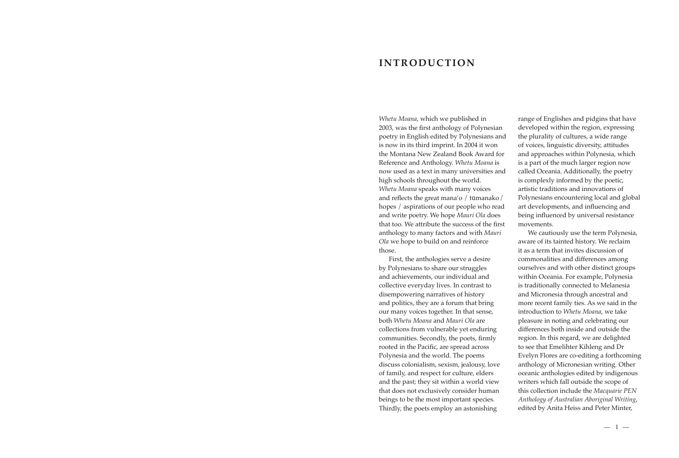# **introduction**

*Whetu Moana*, which we published in 2003, was the first anthology of Polynesian poetry in English edited by Polynesians and is now in its third imprint. In 2004 it won the Montana New Zealand Book Award for Reference and Anthology. *Whetu Moana* is now used as a text in many universities and high schools throughout the world. *Whetu Moana* speaks with many voices and reflects the great mana'o / tūmanako */*  hopes / aspirations of our people who read and write poetry. We hope *Mauri Ola* does that too. We attribute the success of the first anthology to many factors and with *Mauri Ola* we hope to build on and reinforce those.

First, the anthologies serve a desire by Polynesians to share our struggles and achievements, our individual and collective everyday lives. In contrast to disempowering narratives of history and politics, they are a forum that bring our many voices together. In that sense, both *Whetu Moana* and *Mauri Ola* are collections from vulnerable yet enduring communities. Secondly, the poets, firmly rooted in the Pacific, are spread across Polynesia and the world. The poems discuss colonialism, sexism, jealousy, love of family, and respect for culture, elders and the past; they sit within a world view that does not exclusively consider human beings to be the most important species. Thirdly, the poets employ an astonishing

range of Englishes and pidgins that have developed within the region, expressing the plurality of cultures, a wide range of voices, linguistic diversity, attitudes and approaches within Polynesia, which is a part of the much larger region now called Oceania. Additionally, the poetry is complexly informed by the poetic, artistic traditions and innovations of Polynesians encountering local and global art developments, and influencing and being influenced by universal resistance movements.

We cautiously use the term Polynesia, aware of its tainted history. We reclaim it as a term that invites discussion of commonalities and differences among ourselves and with other distinct groups within Oceania. For example, Polynesia is traditionally connected to Melanesia and Micronesia through ancestral and more recent family ties. As we said in the introduction to *Whetu Moana*, we take pleasure in noting and celebrating our differences both inside and outside the region. In this regard, we are delighted to see that Emelihter Kihleng and Dr Evelyn Flores are co-editing a forthcoming anthology of Micronesian writing. Other oceanic anthologies edited by indigenous writers which fall outside the scope of this collection include the *Macquarie PEN Anthology of Australian Aboriginal Writing*, edited by Anita Heiss and Peter Minter,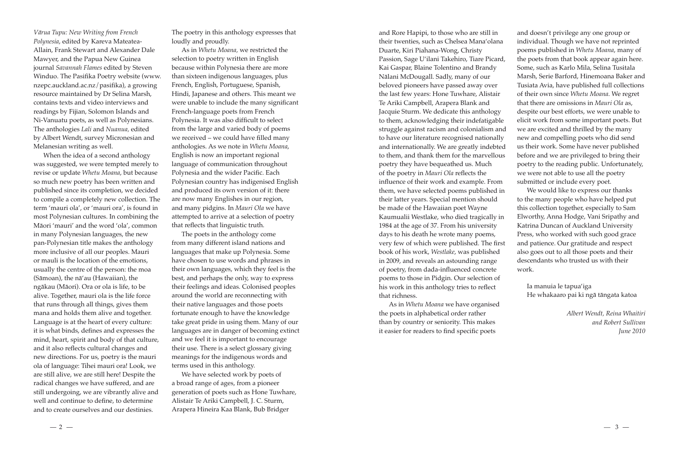*Vārua Tupu: New Writing from French Polynesia*, edited by Kareva Mateatea-Allain, Frank Stewart and Alexander Dale Mawyer, and the Papua New Guinea journal *Savannah Flames* edited by Steven Winduo. The Pasifika Poetry website (www. nzepc.auckland.ac.nz/pasifika), a growing resource maintained by Dr Selina Marsh, contains texts and video interviews and readings by Fijian, Solomon Islands and Ni-Vanuatu poets, as well as Polynesians. The anthologies *Lali* and *Nuanua,* edited by Albert Wendt, survey Micronesian and Melanesian writing as well.

When the idea of a second anthology was suggested, we were tempted merely to revise or update *Whetu Moana*, but because so much new poetry has been written and published since its completion, we decided to compile a completely new collection. The term 'mauri ola', or 'mauri ora', is found in most Polynesian cultures. In combining the Māori 'mauri' and the word 'ola', common in many Polynesian languages, the new pan-Polynesian title makes the anthology more inclusive of all our peoples. Mauri or mauli is the location of the emotions, usually the centre of the person: the moa (Sāmoan), the nā'au (Hawaiian), the ngākau (Māori). Ora or ola is life, to be alive. Together, mauri ola is the life force that runs through all things, gives them mana and holds them alive and together. Language is at the heart of every culture: it is what binds, defines and expresses the mind, heart, spirit and body of that culture, and it also reflects cultural changes and new directions. For us, poetry is the mauri ola of language: Tihei mauri ora! Look, we are still alive, we are still here! Despite the radical changes we have suffered, and are still undergoing, we are vibrantly alive and well and continue to define, to determine and to create ourselves and our destinies.

The poetry in this anthology expresses that loudly and proudly.

As in *Whetu Moana,* we restricted the selection to poetry written in English because within Polynesia there are more than sixteen indigenous languages, plus French, English, Portuguese, Spanish, Hindi, Japanese and others. This meant we were unable to include the many significant French-language poets from French Polynesia. It was also difficult to select from the large and varied body of poems we received – we could have filled many anthologies. As we note in *Whetu Moana*, English is now an important regional language of communication throughout Polynesia and the wider Pacific. Each Polynesian country has indigenised English and produced its own version of it: there are now many Englishes in our region, and many pidgins. In *Mauri Ola* we have attempted to arrive at a selection of poetry that reflects that linguistic truth.

The poets in the anthology come from many different island nations and languages that make up Polynesia. Some have chosen to use words and phrases in their own languages, which they feel is the best, and perhaps the only, way to express their feelings and ideas. Colonised peoples around the world are reconnecting with their native languages and those poets fortunate enough to have the knowledge take great pride in using them. Many of our languages are in danger of becoming extinct and we feel it is important to encourage their use. There is a select glossary giving meanings for the indigenous words and terms used in this anthology.

We have selected work by poets of a broad range of ages, from a pioneer generation of poets such as Hone Tuwhare, Alistair Te Ariki Campbell, J. C. Sturm, Arapera Hineira Kaa Blank, Bub Bridger

and Rore Hapipi, to those who are still in their twenties, such as Chelsea Mana'olana Duarte, Kiri Piahana-Wong, Christy Passion, Sage U'ilani Takehiro, Tiare Picard, Kai Gaspar, Blaine Tolentino and Brandy Nālani McDougall. Sadly, many of our beloved pioneers have passed away over the last few years: Hone Tuwhare, Alistair Te Ariki Campbell, Arapera Blank and Jacquie Sturm. We dedicate this anthology to them, acknowledging their indefatigable struggle against racism and colonialism and to have our literature recognised nationally and internationally. We are greatly indebted to them, and thank them for the marvellous poetry they have bequeathed us. Much of the poetry in *Mauri Ola* reflects the influence of their work and example. From them, we have selected poems published in their latter years. Special mention should be made of the Hawaiian poet Wayne Kaumualii Westlake, who died tragically in 1984 at the age of 37. From his university days to his death he wrote many poems, very few of which were published. The first book of his work, *Westlake*, was published in 2009, and reveals an astounding range of poetry, from dada-influenced concrete poems to those in Pidgin. Our selection of his work in this anthology tries to reflect that richness.

As in *Whetu Moana* we have organised the poets in alphabetical order rather than by country or seniority. This makes it easier for readers to find specific poets

and doesn't privilege any one group or individual. Though we have not reprinted poems published in *Whetu Moana*, many of the poets from that book appear again here. Some, such as Karlo Mila, Selina Tusitala Marsh, Serie Barford, Hinemoana Baker and Tusiata Avia, have published full collections of their own since *Whetu Moana*. We regret that there are omissions in *Mauri Ola* as, despite our best efforts, we were unable to elicit work from some important poets. But we are excited and thrilled by the many new and compelling poets who did send us their work. Some have never published before and we are privileged to bring their poetry to the reading public. Unfortunately, we were not able to use all the poetry submitted or include every poet.

We would like to express our thanks to the many people who have helped put this collection together, especially to Sam Elworthy, Anna Hodge, Vani Sripathy and Katrina Duncan of Auckland University Press, who worked with such good grace and patience. Our gratitude and respect also goes out to all those poets and their descendants who trusted us with their work.

Ia manuia le tapua'iga He whakaaro pai ki ngā tāngata katoa

> *Albert Wendt, Reina Whaitiri and Robert Sullivan June 2010*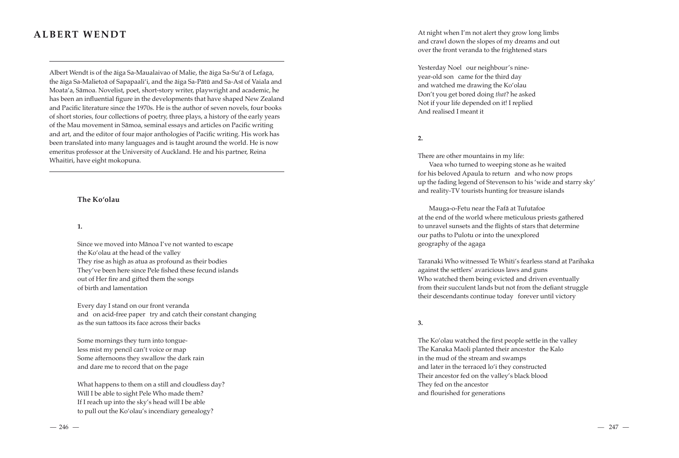# **Albert Wendt**

Albert Wendt is of the āiga Sa-Maualaivao of Malie, the āiga Sa-Su'ā of Lefaga, the āiga Sa-Malietoā of Sapapaali'i, and the āiga Sa-Pātū and Sa-Asī of Vaiala and Moata'a, Sāmoa. Novelist, poet, short-story writer, playwright and academic, he has been an influential figure in the developments that have shaped New Zealand and Pacific literature since the 1970s. He is the author of seven novels, four books of short stories, four collections of poetry, three plays, a history of the early years of the Mau movement in Sāmoa, seminal essays and articles on Pacific writing and art, and the editor of four major anthologies of Pacific writing. His work has been translated into many languages and is taught around the world. He is now emeritus professor at the University of Auckland. He and his partner, Reina Whaitiri, have eight mokopuna.

#### **The Ko'olau**

#### **1.**

Since we moved into Mānoa I've not wanted to escape the Ko'olau at the head of the valley They rise as high as atua as profound as their bodies They've been here since Pele fished these fecund islands out of Her fire and gifted them the songs of birth and lamentation

Every day I stand on our front veranda and on acid-free paper try and catch their constant changing as the sun tattoos its face across their backs

Some mornings they turn into tongueless mist my pencil can't voice or map Some afternoons they swallow the dark rain and dare me to record that on the page

What happens to them on a still and cloudless day? Will I be able to sight Pele Who made them? If I reach up into the sky's head will I be able to pull out the Ko'olau's incendiary genealogy?

At night when I'm not alert they grow long limbs and crawl down the slopes of my dreams and out over the front veranda to the frightened stars

Yesterday Noel our neighbour's nineyear-old son came for the third day and watched me drawing the Ko'olau Don't you get bored doing *that*? he asked Not if your life depended on it! I replied And realised I meant it

**2.**

There are other mountains in my life:

Vaea who turned to weeping stone as he waited for his beloved Apaula to return and who now props up the fading legend of Stevenson to his 'wide and starry sky' and reality-TV tourists hunting for treasure islands

Mauga-o-Fetu near the Fafā at Tufutafoe at the end of the world where meticulous priests gathered to unravel sunsets and the flights of stars that determine our paths to Pulotu or into the unexplored geography of the agaga

Taranaki Who witnessed Te Whiti's fearless stand at Parihaka against the settlers' avaricious laws and guns Who watched them being evicted and driven eventually from their succulent lands but not from the defiant struggle their descendants continue today forever until victory

### **3.**

The Ko'olau watched the first people settle in the valley The Kanaka Maoli planted their ancestor the Kalo in the mud of the stream and swamps and later in the terraced lo'i they constructed Their ancestor fed on the valley's black blood They fed on the ancestor and flourished for generations